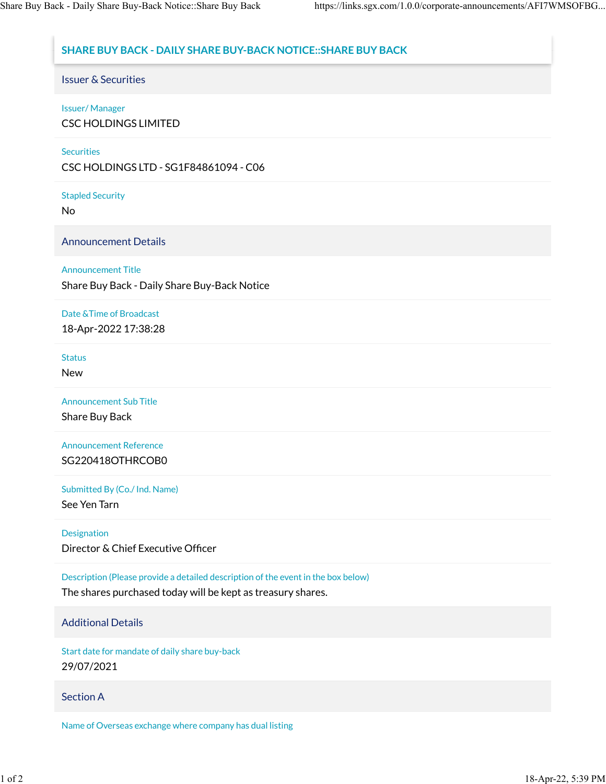# **SHARE BUY BACK - DAILY SHARE BUY-BACK NOTICE::SHARE BUY BACK**

Issuer & Securities

## Issuer/ Manager

CSC HOLDINGS LIMITED

## **Securities**

CSC HOLDINGS LTD - SG1F84861094 - C06

Stapled Security

No

Announcement Details

## Announcement Title

Share Buy Back - Daily Share Buy-Back Notice

# Date &Time of Broadcast

18-Apr-2022 17:38:28

#### **Status**

New

Announcement Sub Title

Share Buy Back

Announcement Reference SG220418OTHRCOB0

Submitted By (Co./ Ind. Name)

See Yen Tarn

#### Designation

Director & Chief Executive Officer

Description (Please provide a detailed description of the event in the box below)

The shares purchased today will be kept as treasury shares.

# Additional Details

Start date for mandate of daily share buy-back 29/07/2021

# Section A

Name of Overseas exchange where company has dual listing